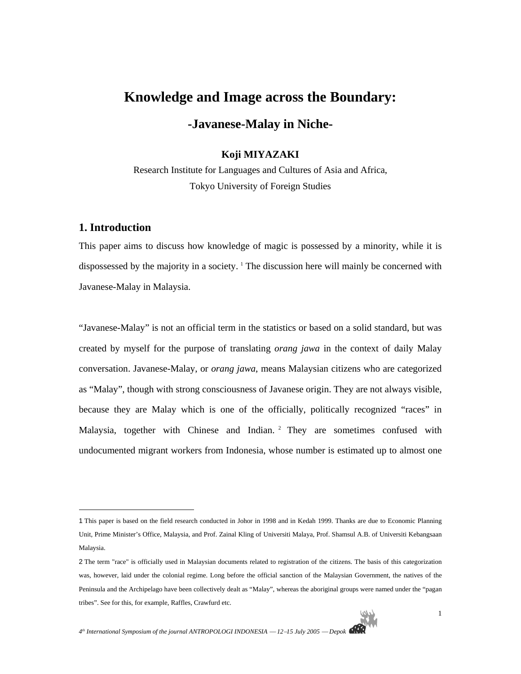# **Knowledge and Image across the Boundary:**

**-Javanese-Malay in Niche-**

# **Koji MIYAZAKI**

Research Institute for Languages and Cultures of Asia and Africa, Tokyo University of Foreign Studies

# **1. Introduction**

 $\overline{a}$ 

This paper aims to discuss how knowledge of magic is possessed by a minority, while it is dispossessed by the majority in a society. <sup>1</sup> The discussion here will mainly be concerned with Javanese-Malay in Malaysia.

"Javanese-Malay" is not an official term in the statistics or based on a solid standard, but was created by myself for the purpose of translating *orang jawa* in the context of daily Malay conversation. Javanese-Malay, or *orang jawa*, means Malaysian citizens who are categorized as "Malay", though with strong consciousness of Javanese origin. They are not always visible, because they are Malay which is one of the officially, politically recognized "races" in Malaysia, together with Chinese and Indian. <sup>2</sup> They are sometimes confused with undocumented migrant workers from Indonesia, whose number is estimated up to almost one

<sup>1</sup> This paper is based on the field research conducted in Johor in 1998 and in Kedah 1999. Thanks are due to Economic Planning Unit, Prime Minister's Office, Malaysia, and Prof. Zainal Kling of Universiti Malaya, Prof. Shamsul A.B. of Universiti Kebangsaan Malaysia.

<sup>2</sup> The term "race" is officially used in Malaysian documents related to registration of the citizens. The basis of this categorization was, however, laid under the colonial regime. Long before the official sanction of the Malaysian Government, the natives of the Peninsula and the Archipelago have been collectively dealt as "Malay", whereas the aboriginal groups were named under the "pagan tribes". See for this, for example, Raffles, Crawfurd etc.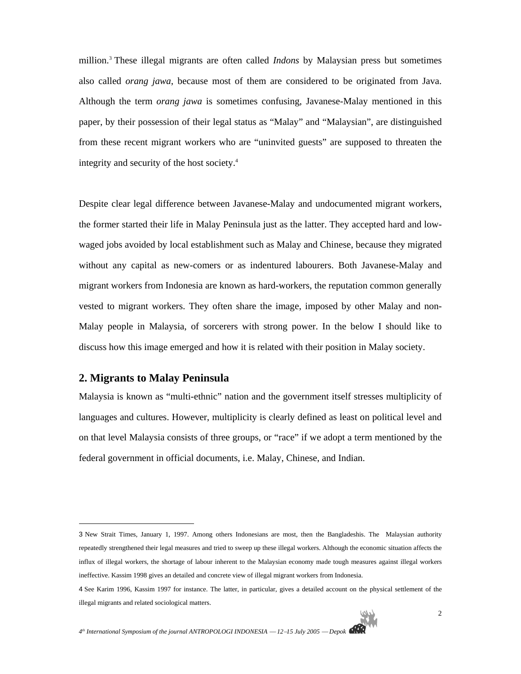million.3 These illegal migrants are often called *Indons* by Malaysian press but sometimes also called *orang jawa*, because most of them are considered to be originated from Java. Although the term *orang jawa* is sometimes confusing, Javanese-Malay mentioned in this paper, by their possession of their legal status as "Malay" and "Malaysian", are distinguished from these recent migrant workers who are "uninvited guests" are supposed to threaten the integrity and security of the host society.4

Despite clear legal difference between Javanese-Malay and undocumented migrant workers, the former started their life in Malay Peninsula just as the latter. They accepted hard and lowwaged jobs avoided by local establishment such as Malay and Chinese, because they migrated without any capital as new-comers or as indentured labourers. Both Javanese-Malay and migrant workers from Indonesia are known as hard-workers, the reputation common generally vested to migrant workers. They often share the image, imposed by other Malay and non-Malay people in Malaysia, of sorcerers with strong power. In the below I should like to discuss how this image emerged and how it is related with their position in Malay society.

### **2. Migrants to Malay Peninsula**

l

Malaysia is known as "multi-ethnic" nation and the government itself stresses multiplicity of languages and cultures. However, multiplicity is clearly defined as least on political level and on that level Malaysia consists of three groups, or "race" if we adopt a term mentioned by the federal government in official documents, i.e. Malay, Chinese, and Indian.

<sup>3</sup> New Strait Times, January 1, 1997. Among others Indonesians are most, then the Bangladeshis. The Malaysian authority repeatedly strengthened their legal measures and tried to sweep up these illegal workers. Although the economic situation affects the influx of illegal workers, the shortage of labour inherent to the Malaysian economy made tough measures against illegal workers ineffective. Kassim 1998 gives an detailed and concrete view of illegal migrant workers from Indonesia.

<sup>4</sup> See Karim 1996, Kassim 1997 for instance. The latter, in particular, gives a detailed account on the physical settlement of the illegal migrants and related sociological matters.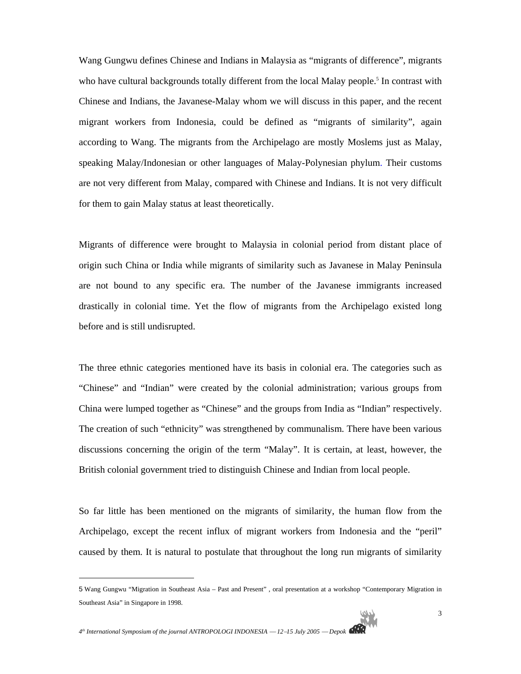Wang Gungwu defines Chinese and Indians in Malaysia as "migrants of difference", migrants who have cultural backgrounds totally different from the local Malay people.<sup>5</sup> In contrast with Chinese and Indians, the Javanese-Malay whom we will discuss in this paper, and the recent migrant workers from Indonesia, could be defined as "migrants of similarity", again according to Wang. The migrants from the Archipelago are mostly Moslems just as Malay, speaking Malay/Indonesian or other languages of Malay-Polynesian phylum. Their customs are not very different from Malay, compared with Chinese and Indians. It is not very difficult for them to gain Malay status at least theoretically.

Migrants of difference were brought to Malaysia in colonial period from distant place of origin such China or India while migrants of similarity such as Javanese in Malay Peninsula are not bound to any specific era. The number of the Javanese immigrants increased drastically in colonial time. Yet the flow of migrants from the Archipelago existed long before and is still undisrupted.

The three ethnic categories mentioned have its basis in colonial era. The categories such as "Chinese" and "Indian" were created by the colonial administration; various groups from China were lumped together as "Chinese" and the groups from India as "Indian" respectively. The creation of such "ethnicity" was strengthened by communalism. There have been various discussions concerning the origin of the term "Malay". It is certain, at least, however, the British colonial government tried to distinguish Chinese and Indian from local people.

So far little has been mentioned on the migrants of similarity, the human flow from the Archipelago, except the recent influx of migrant workers from Indonesia and the "peril" caused by them. It is natural to postulate that throughout the long run migrants of similarity

<sup>5</sup> Wang Gungwu "Migration in Southeast Asia – Past and Present" , oral presentation at a workshop "Contemporary Migration in Southeast Asia" in Singapore in 1998.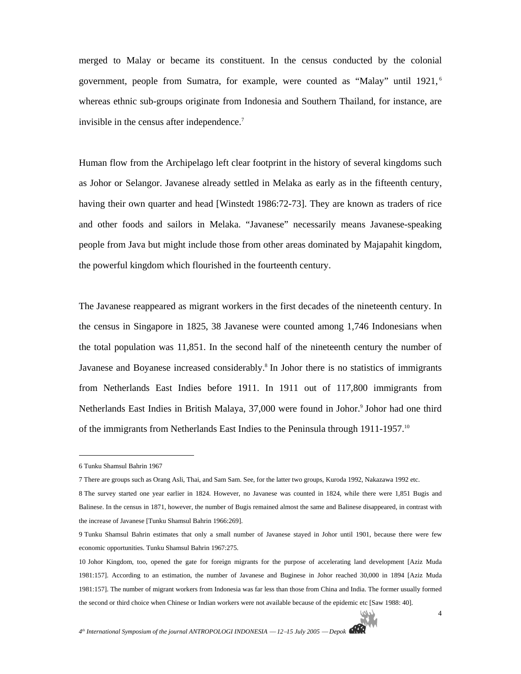merged to Malay or became its constituent. In the census conducted by the colonial government, people from Sumatra, for example, were counted as "Malay" until 1921, <sup>6</sup> whereas ethnic sub-groups originate from Indonesia and Southern Thailand, for instance, are invisible in the census after independence.<sup>7</sup>

Human flow from the Archipelago left clear footprint in the history of several kingdoms such as Johor or Selangor. Javanese already settled in Melaka as early as in the fifteenth century, having their own quarter and head [Winstedt 1986:72-73]. They are known as traders of rice and other foods and sailors in Melaka. "Javanese" necessarily means Javanese-speaking people from Java but might include those from other areas dominated by Majapahit kingdom, the powerful kingdom which flourished in the fourteenth century.

The Javanese reappeared as migrant workers in the first decades of the nineteenth century. In the census in Singapore in 1825, 38 Javanese were counted among 1,746 Indonesians when the total population was 11,851. In the second half of the nineteenth century the number of Javanese and Boyanese increased considerably.<sup>8</sup> In Johor there is no statistics of immigrants from Netherlands East Indies before 1911. In 1911 out of 117,800 immigrants from Netherlands East Indies in British Malaya, 37,000 were found in Johor.<sup>9</sup> Johor had one third of the immigrants from Netherlands East Indies to the Peninsula through 1911-1957.10

<sup>6</sup> Tunku Shamsul Bahrin 1967

<sup>7</sup> There are groups such as Orang Asli, Thai, and Sam Sam. See, for the latter two groups, Kuroda 1992, Nakazawa 1992 etc.

<sup>8</sup> The survey started one year earlier in 1824. However, no Javanese was counted in 1824, while there were 1,851 Bugis and Balinese. In the census in 1871, however, the number of Bugis remained almost the same and Balinese disappeared, in contrast with the increase of Javanese [Tunku Shamsul Bahrin 1966:269].

<sup>9</sup> Tunku Shamsul Bahrin estimates that only a small number of Javanese stayed in Johor until 1901, because there were few economic opportunities. Tunku Shamsul Bahrin 1967:275.

<sup>10</sup> Johor Kingdom, too, opened the gate for foreign migrants for the purpose of accelerating land development [Aziz Muda 1981:157]. According to an estimation, the number of Javanese and Buginese in Johor reached 30,000 in 1894 [Aziz Muda 1981:157]. The number of migrant workers from Indonesia was far less than those from China and India. The former usually formed the second or third choice when Chinese or Indian workers were not available because of the epidemic etc [Saw 1988: 40].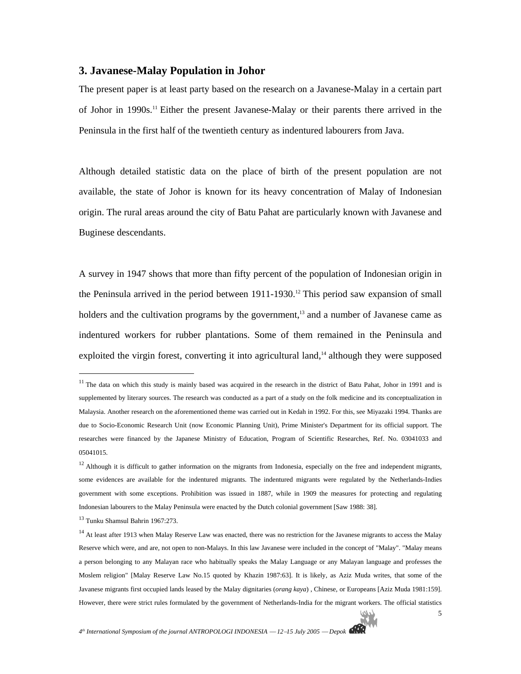# **3. Javanese-Malay Population in Johor**

The present paper is at least party based on the research on a Javanese-Malay in a certain part of Johor in 1990s.11 Either the present Javanese-Malay or their parents there arrived in the Peninsula in the first half of the twentieth century as indentured labourers from Java.

Although detailed statistic data on the place of birth of the present population are not available, the state of Johor is known for its heavy concentration of Malay of Indonesian origin. The rural areas around the city of Batu Pahat are particularly known with Javanese and Buginese descendants.

A survey in 1947 shows that more than fifty percent of the population of Indonesian origin in the Peninsula arrived in the period between 1911-1930.<sup>12</sup> This period saw expansion of small holders and the cultivation programs by the government,<sup>13</sup> and a number of Javanese came as indentured workers for rubber plantations. Some of them remained in the Peninsula and exploited the virgin forest, converting it into agricultural land,<sup>14</sup> although they were supposed

<sup>&</sup>lt;sup>11</sup> The data on which this study is mainly based was acquired in the research in the district of Batu Pahat, Johor in 1991 and is supplemented by literary sources. The research was conducted as a part of a study on the folk medicine and its conceptualization in Malaysia. Another research on the aforementioned theme was carried out in Kedah in 1992. For this, see Miyazaki 1994. Thanks are due to Socio-Economic Research Unit (now Economic Planning Unit), Prime Minister's Department for its official support. The researches were financed by the Japanese Ministry of Education, Program of Scientific Researches, Ref. No. 03041033 and 05041015.

 $12$  Although it is difficult to gather information on the migrants from Indonesia, especially on the free and independent migrants, some evidences are available for the indentured migrants. The indentured migrants were regulated by the Netherlands-Indies government with some exceptions. Prohibition was issued in 1887, while in 1909 the measures for protecting and regulating Indonesian labourers to the Malay Peninsula were enacted by the Dutch colonial government [Saw 1988: 38].

<sup>13</sup> Tunku Shamsul Bahrin 1967:273.

<sup>&</sup>lt;sup>14</sup> At least after 1913 when Malay Reserve Law was enacted, there was no restriction for the Javanese migrants to access the Malay Reserve which were, and are, not open to non-Malays. In this law Javanese were included in the concept of "Malay". "Malay means a person belonging to any Malayan race who habitually speaks the Malay Language or any Malayan language and professes the Moslem religion" [Malay Reserve Law No.15 quoted by Khazin 1987:63]. It is likely, as Aziz Muda writes, that some of the Javanese migrants first occupied lands leased by the Malay dignitaries (*orang kaya*) , Chinese, or Europeans [Aziz Muda 1981:159]. However, there were strict rules formulated by the government of Netherlands-India for the migrant workers. The official statistics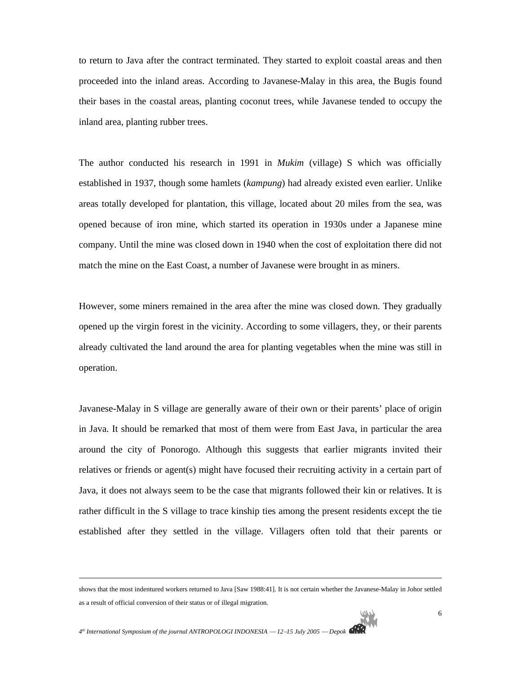to return to Java after the contract terminated. They started to exploit coastal areas and then proceeded into the inland areas. According to Javanese-Malay in this area, the Bugis found their bases in the coastal areas, planting coconut trees, while Javanese tended to occupy the inland area, planting rubber trees.

The author conducted his research in 1991 in *Mukim* (village) S which was officially established in 1937, though some hamlets (*kampung*) had already existed even earlier. Unlike areas totally developed for plantation, this village, located about 20 miles from the sea, was opened because of iron mine, which started its operation in 1930s under a Japanese mine company. Until the mine was closed down in 1940 when the cost of exploitation there did not match the mine on the East Coast, a number of Javanese were brought in as miners.

However, some miners remained in the area after the mine was closed down. They gradually opened up the virgin forest in the vicinity. According to some villagers, they, or their parents already cultivated the land around the area for planting vegetables when the mine was still in operation.

Javanese-Malay in S village are generally aware of their own or their parents' place of origin in Java. It should be remarked that most of them were from East Java, in particular the area around the city of Ponorogo. Although this suggests that earlier migrants invited their relatives or friends or agent(s) might have focused their recruiting activity in a certain part of Java, it does not always seem to be the case that migrants followed their kin or relatives. It is rather difficult in the S village to trace kinship ties among the present residents except the tie established after they settled in the village. Villagers often told that their parents or

shows that the most indentured workers returned to Java [Saw 1988:41]. It is not certain whether the Javanese-Malay in Johor settled as a result of official conversion of their status or of illegal migration.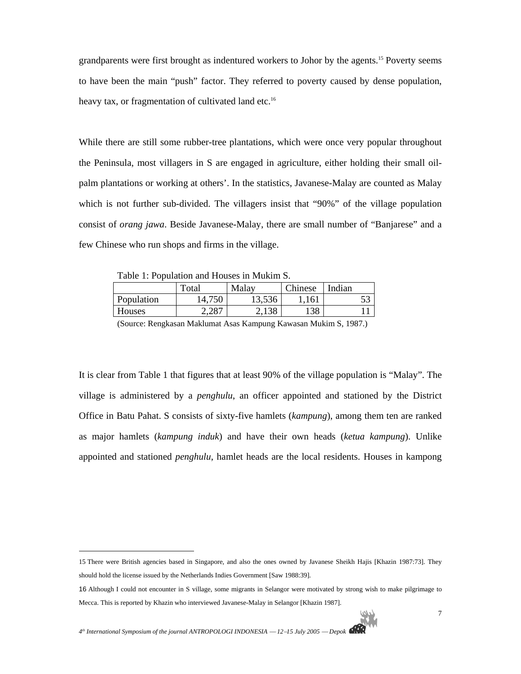grandparents were first brought as indentured workers to Johor by the agents.15 Poverty seems to have been the main "push" factor. They referred to poverty caused by dense population, heavy tax, or fragmentation of cultivated land etc.<sup>16</sup>

While there are still some rubber-tree plantations, which were once very popular throughout the Peninsula, most villagers in S are engaged in agriculture, either holding their small oilpalm plantations or working at others'. In the statistics, Javanese-Malay are counted as Malay which is not further sub-divided. The villagers insist that "90%" of the village population consist of *orang jawa*. Beside Javanese-Malay, there are small number of "Banjarese" and a few Chinese who run shops and firms in the village.

Table 1: Population and Houses in Mukim S.

|            | Total  | Malay  | <b>Chinese</b> | Indian |
|------------|--------|--------|----------------|--------|
| Population | 14,750 | 13,536 | 1,161          |        |
| Houses     |        | 138    | 138            |        |

(Source: Rengkasan Maklumat Asas Kampung Kawasan Mukim S, 1987.)

It is clear from Table 1 that figures that at least 90% of the village population is "Malay". The village is administered by a *penghulu*, an officer appointed and stationed by the District Office in Batu Pahat. S consists of sixty-five hamlets (*kampung*), among them ten are ranked as major hamlets (*kampung induk*) and have their own heads (*ketua kampung*). Unlike appointed and stationed *penghulu*, hamlet heads are the local residents. Houses in kampong

<sup>15</sup> There were British agencies based in Singapore, and also the ones owned by Javanese Sheikh Hajis [Khazin 1987:73]. They should hold the license issued by the Netherlands Indies Government [Saw 1988:39].

<sup>16</sup> Although I could not encounter in S village, some migrants in Selangor were motivated by strong wish to make pilgrimage to Mecca. This is reported by Khazin who interviewed Javanese-Malay in Selangor [Khazin 1987].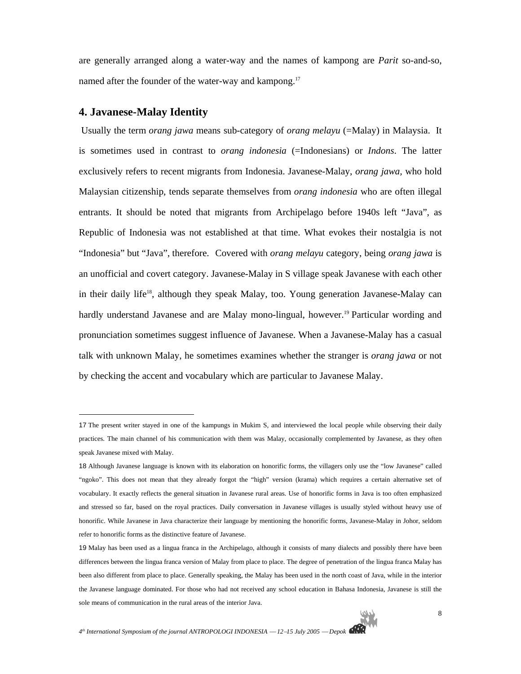are generally arranged along a water-way and the names of kampong are *Parit* so-and-so, named after the founder of the water-way and kampong.<sup>17</sup>

# **4. Javanese-Malay Identity**

 $\overline{a}$ 

 Usually the term *orang jawa* means sub-category of *orang melayu* (=Malay) in Malaysia. It is sometimes used in contrast to *orang indonesia* (=Indonesians) or *Indons*. The latter exclusively refers to recent migrants from Indonesia. Javanese-Malay, *orang jawa,* who hold Malaysian citizenship, tends separate themselves from *orang indonesia* who are often illegal entrants. It should be noted that migrants from Archipelago before 1940s left "Java", as Republic of Indonesia was not established at that time. What evokes their nostalgia is not "Indonesia" but "Java", therefore. Covered with *orang melayu* category, being *orang jawa* is an unofficial and covert category. Javanese-Malay in S village speak Javanese with each other in their daily life<sup>18</sup>, although they speak Malay, too. Young generation Javanese-Malay can hardly understand Javanese and are Malay mono-lingual, however.<sup>19</sup> Particular wording and pronunciation sometimes suggest influence of Javanese. When a Javanese-Malay has a casual talk with unknown Malay, he sometimes examines whether the stranger is *orang jawa* or not by checking the accent and vocabulary which are particular to Javanese Malay.

<sup>17</sup> The present writer stayed in one of the kampungs in Mukim S, and interviewed the local people while observing their daily practices. The main channel of his communication with them was Malay, occasionally complemented by Javanese, as they often speak Javanese mixed with Malay.

<sup>18</sup> Although Javanese language is known with its elaboration on honorific forms, the villagers only use the "low Javanese" called "ngoko". This does not mean that they already forgot the "high" version (krama) which requires a certain alternative set of vocabulary. It exactly reflects the general situation in Javanese rural areas. Use of honorific forms in Java is too often emphasized and stressed so far, based on the royal practices. Daily conversation in Javanese villages is usually styled without heavy use of honorific. While Javanese in Java characterize their language by mentioning the honorific forms, Javanese-Malay in Johor, seldom refer to honorific forms as the distinctive feature of Javanese.

<sup>19</sup> Malay has been used as a lingua franca in the Archipelago, although it consists of many dialects and possibly there have been differences between the lingua franca version of Malay from place to place. The degree of penetration of the lingua franca Malay has been also different from place to place. Generally speaking, the Malay has been used in the north coast of Java, while in the interior the Javanese language dominated. For those who had not received any school education in Bahasa Indonesia, Javanese is still the sole means of communication in the rural areas of the interior Java.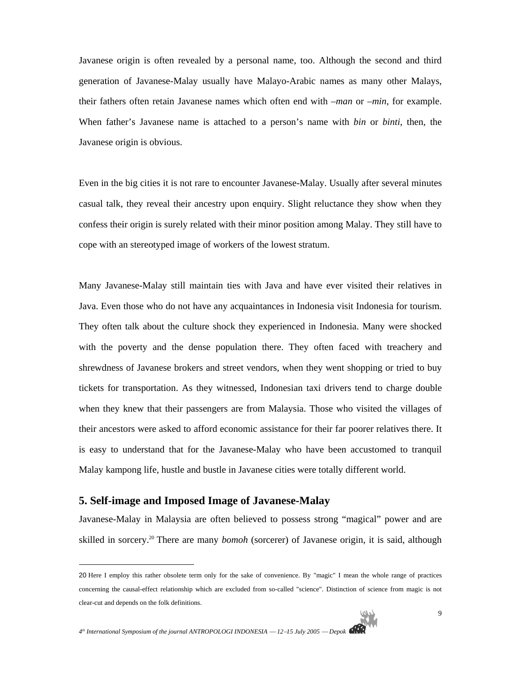Javanese origin is often revealed by a personal name, too. Although the second and third generation of Javanese-Malay usually have Malayo-Arabic names as many other Malays, their fathers often retain Javanese names which often end with *–man* or *–min*, for example. When father's Javanese name is attached to a person's name with *bin* or *binti*, then, the Javanese origin is obvious.

Even in the big cities it is not rare to encounter Javanese-Malay. Usually after several minutes casual talk, they reveal their ancestry upon enquiry. Slight reluctance they show when they confess their origin is surely related with their minor position among Malay. They still have to cope with an stereotyped image of workers of the lowest stratum.

Many Javanese-Malay still maintain ties with Java and have ever visited their relatives in Java. Even those who do not have any acquaintances in Indonesia visit Indonesia for tourism. They often talk about the culture shock they experienced in Indonesia. Many were shocked with the poverty and the dense population there. They often faced with treachery and shrewdness of Javanese brokers and street vendors, when they went shopping or tried to buy tickets for transportation. As they witnessed, Indonesian taxi drivers tend to charge double when they knew that their passengers are from Malaysia. Those who visited the villages of their ancestors were asked to afford economic assistance for their far poorer relatives there. It is easy to understand that for the Javanese-Malay who have been accustomed to tranquil Malay kampong life, hustle and bustle in Javanese cities were totally different world.

# **5. Self-image and Imposed Image of Javanese-Malay**

 $\overline{a}$ 

Javanese-Malay in Malaysia are often believed to possess strong "magical" power and are skilled in sorcery.<sup>20</sup> There are many *bomoh* (sorcerer) of Javanese origin, it is said, although

<sup>20</sup> Here I employ this rather obsolete term only for the sake of convenience. By "magic" I mean the whole range of practices concerning the causal-effect relationship which are excluded from so-called "science". Distinction of science from magic is not clear-cut and depends on the folk definitions.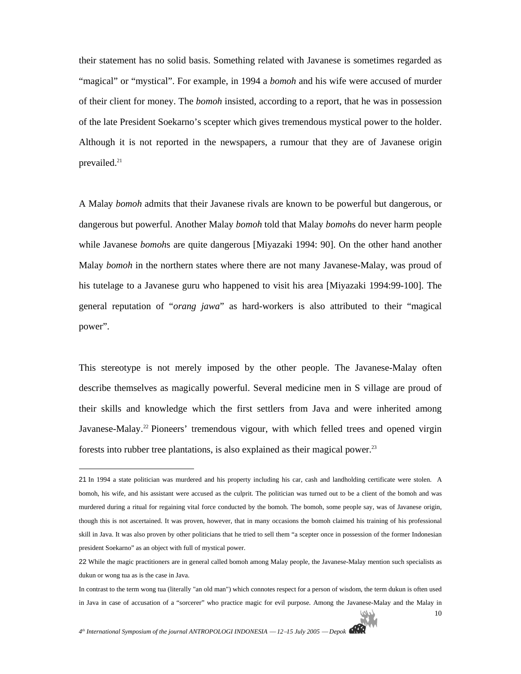their statement has no solid basis. Something related with Javanese is sometimes regarded as "magical" or "mystical". For example, in 1994 a *bomoh* and his wife were accused of murder of their client for money. The *bomoh* insisted, according to a report, that he was in possession of the late President Soekarno's scepter which gives tremendous mystical power to the holder. Although it is not reported in the newspapers, a rumour that they are of Javanese origin prevailed.<sup>21</sup>

A Malay *bomoh* admits that their Javanese rivals are known to be powerful but dangerous, or dangerous but powerful. Another Malay *bomoh* told that Malay *bomoh*s do never harm people while Javanese *bomoh*s are quite dangerous [Miyazaki 1994: 90]. On the other hand another Malay *bomoh* in the northern states where there are not many Javanese-Malay, was proud of his tutelage to a Javanese guru who happened to visit his area [Miyazaki 1994:99-100]. The general reputation of "*orang jawa*" as hard-workers is also attributed to their "magical power".

This stereotype is not merely imposed by the other people. The Javanese-Malay often describe themselves as magically powerful. Several medicine men in S village are proud of their skills and knowledge which the first settlers from Java and were inherited among Javanese-Malay.<sup>22</sup> Pioneers' tremendous vigour, with which felled trees and opened virgin forests into rubber tree plantations, is also explained as their magical power.23

l

<sup>21</sup> In 1994 a state politician was murdered and his property including his car, cash and landholding certificate were stolen. A bomoh, his wife, and his assistant were accused as the culprit. The politician was turned out to be a client of the bomoh and was murdered during a ritual for regaining vital force conducted by the bomoh. The bomoh, some people say, was of Javanese origin, though this is not ascertained. It was proven, however, that in many occasions the bomoh claimed his training of his professional skill in Java. It was also proven by other politicians that he tried to sell them "a scepter once in possession of the former Indonesian president Soekarno" as an object with full of mystical power.

<sup>22</sup> While the magic practitioners are in general called bomoh among Malay people, the Javanese-Malay mention such specialists as dukun or wong tua as is the case in Java.

In contrast to the term wong tua (literally "an old man") which connotes respect for a person of wisdom, the term dukun is often used in Java in case of accusation of a "sorcerer" who practice magic for evil purpose. Among the Javanese-Malay and the Malay in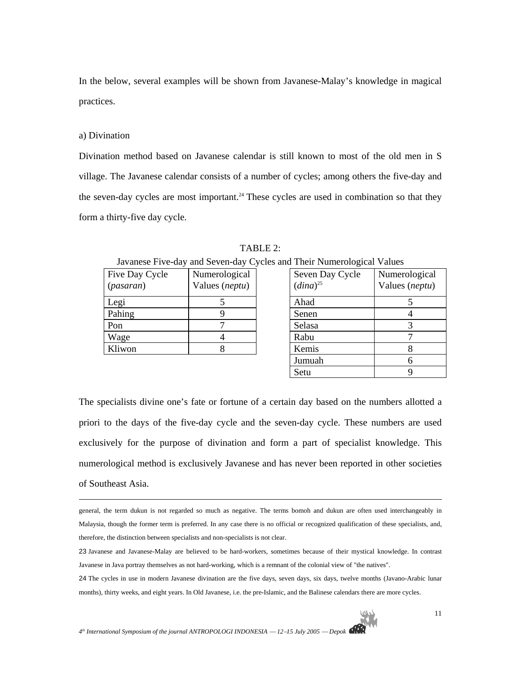In the below, several examples will be shown from Javanese-Malay's knowledge in magical practices.

### a) Divination

 $\overline{a}$ 

Divination method based on Javanese calendar is still known to most of the old men in S village. The Javanese calendar consists of a number of cycles; among others the five-day and the seven-day cycles are most important.<sup>24</sup> These cycles are used in combination so that they form a thirty-five day cycle.

|                                      |                                 | ravancse i ive-day and seven-day eyeres and filen frumefological values |                          |
|--------------------------------------|---------------------------------|-------------------------------------------------------------------------|--------------------------|
| Five Day Cycle<br>( <i>pasaran</i> ) | Numerological<br>Values (neptu) | Seven Day Cycle<br>$(dina)^{25}$                                        | Numerolo<br>Values $(n)$ |
| Legi                                 |                                 | Ahad                                                                    |                          |
| Pahing                               |                                 | Senen                                                                   |                          |
| Pon                                  |                                 | Selasa                                                                  |                          |
| Wage                                 |                                 | Rabu                                                                    |                          |
| Kliwon                               |                                 | Kemis                                                                   |                          |
|                                      |                                 |                                                                         |                          |

TABLE 2:

| Five Day Cycle | Numerological  | Seven Day Cycle | Numerological  |
|----------------|----------------|-----------------|----------------|
| (pasaran)      | Values (neptu) | $(dina)^{25}$   | Values (neptu) |
| Legi           |                | Ahad            |                |
| Pahing         |                | Senen           |                |
| Pon            |                | Selasa          |                |
| Wage           |                | Rabu            |                |
| Kliwon         |                | Kemis           |                |
|                |                | Jumuah          |                |
|                |                | Setu            |                |
|                |                |                 |                |

Javanese Five-day and Seven-day Cycles and Their Numerological Values

The specialists divine one's fate or fortune of a certain day based on the numbers allotted a priori to the days of the five-day cycle and the seven-day cycle. These numbers are used exclusively for the purpose of divination and form a part of specialist knowledge. This numerological method is exclusively Javanese and has never been reported in other societies of Southeast Asia.

general, the term dukun is not regarded so much as negative. The terms bomoh and dukun are often used interchangeably in Malaysia, though the former term is preferred. In any case there is no official or recognized qualification of these specialists, and, therefore, the distinction between specialists and non-specialists is not clear.

<sup>23</sup> Javanese and Javanese-Malay are believed to be hard-workers, sometimes because of their mystical knowledge. In contrast Javanese in Java portray themselves as not hard-working, which is a remnant of the colonial view of "the natives".

<sup>24</sup> The cycles in use in modern Javanese divination are the five days, seven days, six days, twelve months (Javano-Arabic lunar months), thirty weeks, and eight years. In Old Javanese, i.e. the pre-Islamic, and the Balinese calendars there are more cycles.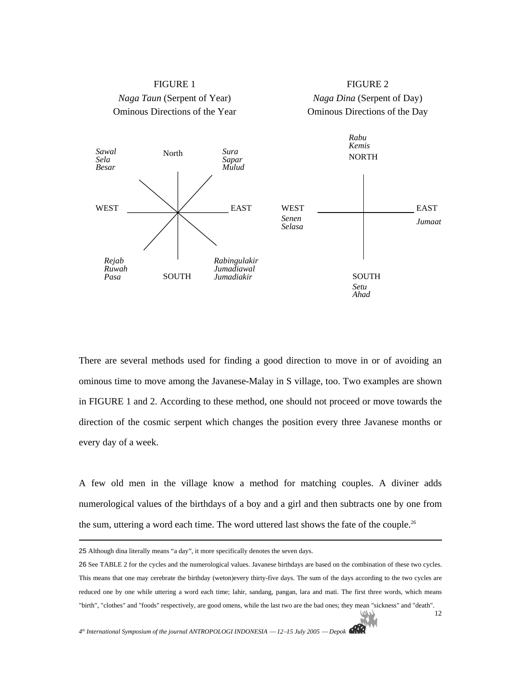

There are several methods used for finding a good direction to move in or of avoiding an ominous time to move among the Javanese-Malay in S village, too. Two examples are shown in FIGURE 1 and 2. According to these method, one should not proceed or move towards the direction of the cosmic serpent which changes the position every three Javanese months or every day of a week.

A few old men in the village know a method for matching couples. A diviner adds numerological values of the birthdays of a boy and a girl and then subtracts one by one from the sum, uttering a word each time. The word uttered last shows the fate of the couple.<sup>26</sup>

<sup>25</sup> Although dina literally means "a day", it more specifically denotes the seven days.

<sup>12</sup> 26 See TABLE 2 for the cycles and the numerological values. Javanese birthdays are based on the combination of these two cycles. This means that one may cerebrate the birthday (weton)every thirty-five days. The sum of the days according to the two cycles are reduced one by one while uttering a word each time; lahir, sandang, pangan, lara and mati. The first three words, which means "birth", "clothes" and "foods" respectively, are good omens, while the last two are the bad ones; they mean "sickness" and "death".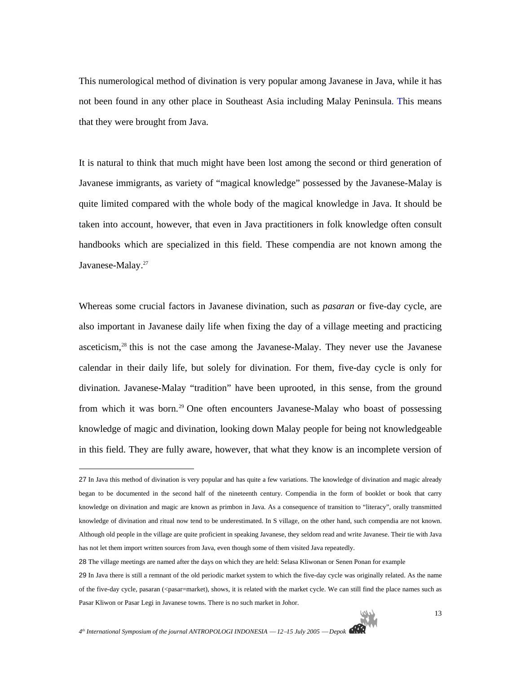This numerological method of divination is very popular among Javanese in Java, while it has not been found in any other place in Southeast Asia including Malay Peninsula. This means that they were brought from Java.

It is natural to think that much might have been lost among the second or third generation of Javanese immigrants, as variety of "magical knowledge" possessed by the Javanese-Malay is quite limited compared with the whole body of the magical knowledge in Java. It should be taken into account, however, that even in Java practitioners in folk knowledge often consult handbooks which are specialized in this field. These compendia are not known among the Javanese-Malay.<sup>27</sup>

Whereas some crucial factors in Javanese divination, such as *pasaran* or five-day cycle, are also important in Javanese daily life when fixing the day of a village meeting and practicing asceticism,<sup>28</sup> this is not the case among the Javanese-Malay. They never use the Javanese calendar in their daily life, but solely for divination. For them, five-day cycle is only for divination. Javanese-Malay "tradition" have been uprooted, in this sense, from the ground from which it was born.<sup>29</sup> One often encounters Javanese-Malay who boast of possessing knowledge of magic and divination, looking down Malay people for being not knowledgeable in this field. They are fully aware, however, that what they know is an incomplete version of

l

<sup>27</sup> In Java this method of divination is very popular and has quite a few variations. The knowledge of divination and magic already began to be documented in the second half of the nineteenth century. Compendia in the form of booklet or book that carry knowledge on divination and magic are known as primbon in Java. As a consequence of transition to "literacy", orally transmitted knowledge of divination and ritual now tend to be underestimated. In S village, on the other hand, such compendia are not known. Although old people in the village are quite proficient in speaking Javanese, they seldom read and write Javanese. Their tie with Java has not let them import written sources from Java, even though some of them visited Java repeatedly.

<sup>28</sup> The village meetings are named after the days on which they are held: Selasa Kliwonan or Senen Ponan for example

<sup>29</sup> In Java there is still a remnant of the old periodic market system to which the five-day cycle was originally related. As the name of the five-day cycle, pasaran (<ppasar=market), shows, it is related with the market cycle. We can still find the place names such as Pasar Kliwon or Pasar Legi in Javanese towns. There is no such market in Johor.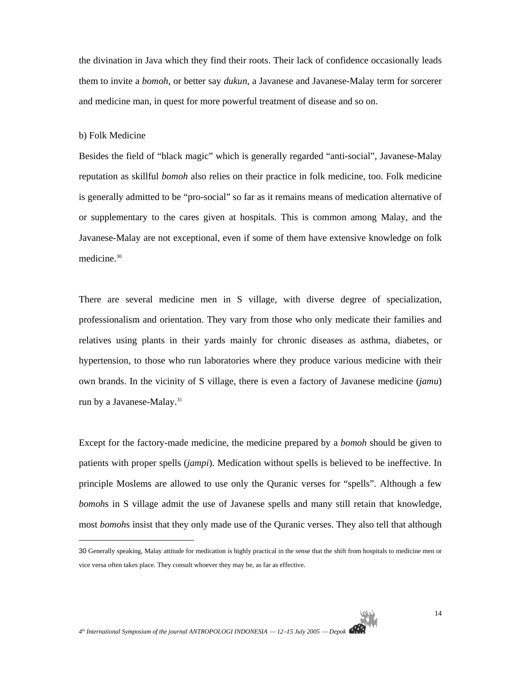the divination in Java which they find their roots. Their lack of confidence occasionally leads them to invite a *bomoh*, or better say *dukun*, a Javanese and Javanese-Malay term for sorcerer and medicine man, in quest for more powerful treatment of disease and so on.

#### b) Folk Medicine

 $\overline{a}$ 

Besides the field of "black magic" which is generally regarded "anti-social", Javanese-Malay reputation as skillful *bomoh* also relies on their practice in folk medicine, too. Folk medicine is generally admitted to be "pro-social" so far as it remains means of medication alternative of or supplementary to the cares given at hospitals. This is common among Malay, and the Javanese-Malay are not exceptional, even if some of them have extensive knowledge on folk medicine.<sup>30</sup>

There are several medicine men in S village, with diverse degree of specialization, professionalism and orientation. They vary from those who only medicate their families and relatives using plants in their yards mainly for chronic diseases as asthma, diabetes, or hypertension, to those who run laboratories where they produce various medicine with their own brands. In the vicinity of S village, there is even a factory of Javanese medicine (*jamu*) run by a Javanese-Malay.<sup>31</sup>

Except for the factory-made medicine, the medicine prepared by a *bomoh* should be given to patients with proper spells (*jampi*). Medication without spells is believed to be ineffective. In principle Moslems are allowed to use only the Quranic verses for "spells". Although a few *bomoh*s in S village admit the use of Javanese spells and many still retain that knowledge, most *bomoh*s insist that they only made use of the Quranic verses. They also tell that although

<sup>30</sup> Generally speaking, Malay attitude for medication is highly practical in the sense that the shift from hospitals to medicine men or vice versa often takes place. They consult whoever they may be, as far as effective.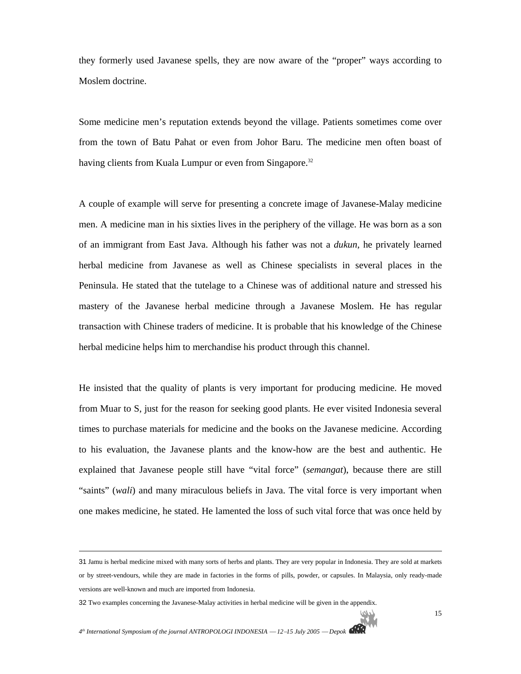they formerly used Javanese spells, they are now aware of the "proper" ways according to Moslem doctrine.

Some medicine men's reputation extends beyond the village. Patients sometimes come over from the town of Batu Pahat or even from Johor Baru. The medicine men often boast of having clients from Kuala Lumpur or even from Singapore.<sup>32</sup>

A couple of example will serve for presenting a concrete image of Javanese-Malay medicine men. A medicine man in his sixties lives in the periphery of the village. He was born as a son of an immigrant from East Java. Although his father was not a *dukun*, he privately learned herbal medicine from Javanese as well as Chinese specialists in several places in the Peninsula. He stated that the tutelage to a Chinese was of additional nature and stressed his mastery of the Javanese herbal medicine through a Javanese Moslem. He has regular transaction with Chinese traders of medicine. It is probable that his knowledge of the Chinese herbal medicine helps him to merchandise his product through this channel.

He insisted that the quality of plants is very important for producing medicine. He moved from Muar to S, just for the reason for seeking good plants. He ever visited Indonesia several times to purchase materials for medicine and the books on the Javanese medicine. According to his evaluation, the Javanese plants and the know-how are the best and authentic. He explained that Javanese people still have "vital force" (*semangat*), because there are still "saints" (*wali*) and many miraculous beliefs in Java. The vital force is very important when one makes medicine, he stated. He lamented the loss of such vital force that was once held by

<sup>31</sup> Jamu is herbal medicine mixed with many sorts of herbs and plants. They are very popular in Indonesia. They are sold at markets or by street-vendours, while they are made in factories in the forms of pills, powder, or capsules. In Malaysia, only ready-made versions are well-known and much are imported from Indonesia.

<sup>32</sup> Two examples concerning the Javanese-Malay activities in herbal medicine will be given in the appendix.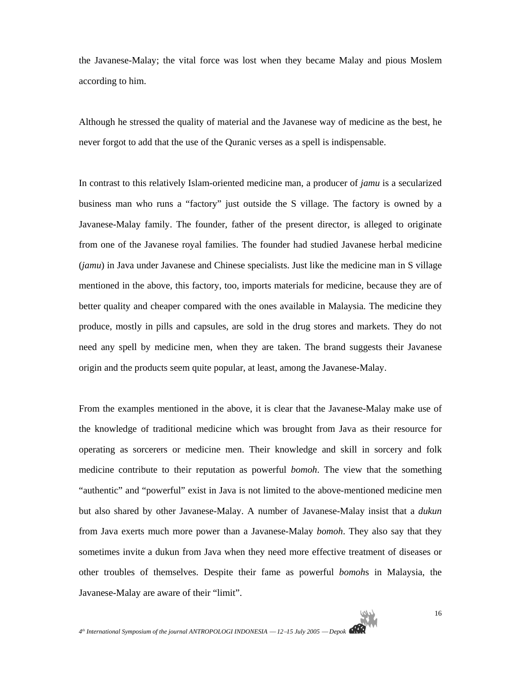the Javanese-Malay; the vital force was lost when they became Malay and pious Moslem according to him.

Although he stressed the quality of material and the Javanese way of medicine as the best, he never forgot to add that the use of the Quranic verses as a spell is indispensable.

In contrast to this relatively Islam-oriented medicine man, a producer of *jamu* is a secularized business man who runs a "factory" just outside the S village. The factory is owned by a Javanese-Malay family. The founder, father of the present director, is alleged to originate from one of the Javanese royal families. The founder had studied Javanese herbal medicine (*jamu*) in Java under Javanese and Chinese specialists. Just like the medicine man in S village mentioned in the above, this factory, too, imports materials for medicine, because they are of better quality and cheaper compared with the ones available in Malaysia. The medicine they produce, mostly in pills and capsules, are sold in the drug stores and markets. They do not need any spell by medicine men, when they are taken. The brand suggests their Javanese origin and the products seem quite popular, at least, among the Javanese-Malay.

From the examples mentioned in the above, it is clear that the Javanese-Malay make use of the knowledge of traditional medicine which was brought from Java as their resource for operating as sorcerers or medicine men. Their knowledge and skill in sorcery and folk medicine contribute to their reputation as powerful *bomoh*. The view that the something "authentic" and "powerful" exist in Java is not limited to the above-mentioned medicine men but also shared by other Javanese-Malay. A number of Javanese-Malay insist that a *dukun* from Java exerts much more power than a Javanese-Malay *bomoh*. They also say that they sometimes invite a dukun from Java when they need more effective treatment of diseases or other troubles of themselves. Despite their fame as powerful *bomoh*s in Malaysia, the Javanese-Malay are aware of their "limit".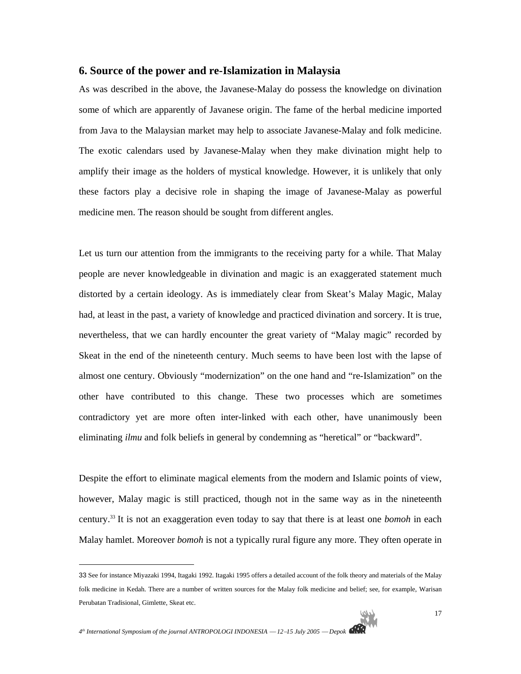# **6. Source of the power and re-Islamization in Malaysia**

As was described in the above, the Javanese-Malay do possess the knowledge on divination some of which are apparently of Javanese origin. The fame of the herbal medicine imported from Java to the Malaysian market may help to associate Javanese-Malay and folk medicine. The exotic calendars used by Javanese-Malay when they make divination might help to amplify their image as the holders of mystical knowledge. However, it is unlikely that only these factors play a decisive role in shaping the image of Javanese-Malay as powerful medicine men. The reason should be sought from different angles.

Let us turn our attention from the immigrants to the receiving party for a while. That Malay people are never knowledgeable in divination and magic is an exaggerated statement much distorted by a certain ideology. As is immediately clear from Skeat's Malay Magic, Malay had, at least in the past, a variety of knowledge and practiced divination and sorcery. It is true, nevertheless, that we can hardly encounter the great variety of "Malay magic" recorded by Skeat in the end of the nineteenth century. Much seems to have been lost with the lapse of almost one century. Obviously "modernization" on the one hand and "re-Islamization" on the other have contributed to this change. These two processes which are sometimes contradictory yet are more often inter-linked with each other, have unanimously been eliminating *ilmu* and folk beliefs in general by condemning as "heretical" or "backward".

Despite the effort to eliminate magical elements from the modern and Islamic points of view, however, Malay magic is still practiced, though not in the same way as in the nineteenth century.33 It is not an exaggeration even today to say that there is at least one *bomoh* in each Malay hamlet. Moreover *bomoh* is not a typically rural figure any more. They often operate in

<sup>33</sup> See for instance Miyazaki 1994, Itagaki 1992. Itagaki 1995 offers a detailed account of the folk theory and materials of the Malay folk medicine in Kedah. There are a number of written sources for the Malay folk medicine and belief; see, for example, Warisan Perubatan Tradisional, Gimlette, Skeat etc.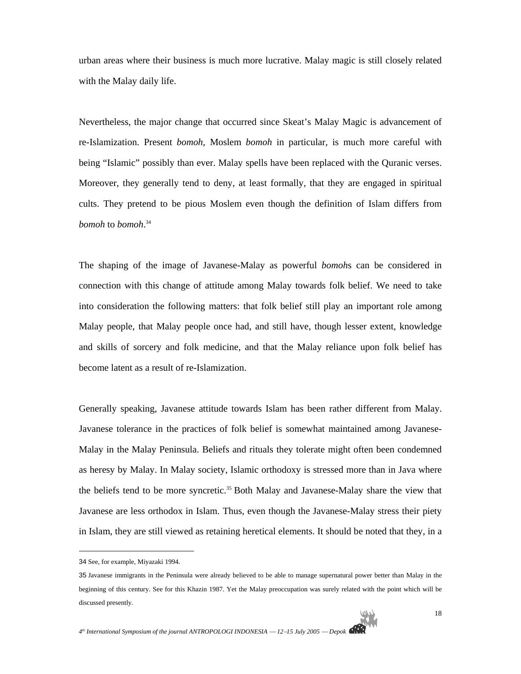urban areas where their business is much more lucrative. Malay magic is still closely related with the Malay daily life.

Nevertheless, the major change that occurred since Skeat's Malay Magic is advancement of re-Islamization. Present *bomoh*, Moslem *bomoh* in particular, is much more careful with being "Islamic" possibly than ever. Malay spells have been replaced with the Quranic verses. Moreover, they generally tend to deny, at least formally, that they are engaged in spiritual cults. They pretend to be pious Moslem even though the definition of Islam differs from *bomoh* to *bomoh*. 34

The shaping of the image of Javanese-Malay as powerful *bomoh*s can be considered in connection with this change of attitude among Malay towards folk belief. We need to take into consideration the following matters: that folk belief still play an important role among Malay people, that Malay people once had, and still have, though lesser extent, knowledge and skills of sorcery and folk medicine, and that the Malay reliance upon folk belief has become latent as a result of re-Islamization.

Generally speaking, Javanese attitude towards Islam has been rather different from Malay. Javanese tolerance in the practices of folk belief is somewhat maintained among Javanese-Malay in the Malay Peninsula. Beliefs and rituals they tolerate might often been condemned as heresy by Malay. In Malay society, Islamic orthodoxy is stressed more than in Java where the beliefs tend to be more syncretic.<sup>35</sup> Both Malay and Javanese-Malay share the view that Javanese are less orthodox in Islam. Thus, even though the Javanese-Malay stress their piety in Islam, they are still viewed as retaining heretical elements. It should be noted that they, in a

<sup>34</sup> See, for example, Miyazaki 1994.

<sup>35</sup> Javanese immigrants in the Peninsula were already believed to be able to manage supernatural power better than Malay in the beginning of this century. See for this Khazin 1987. Yet the Malay preoccupation was surely related with the point which will be discussed presently.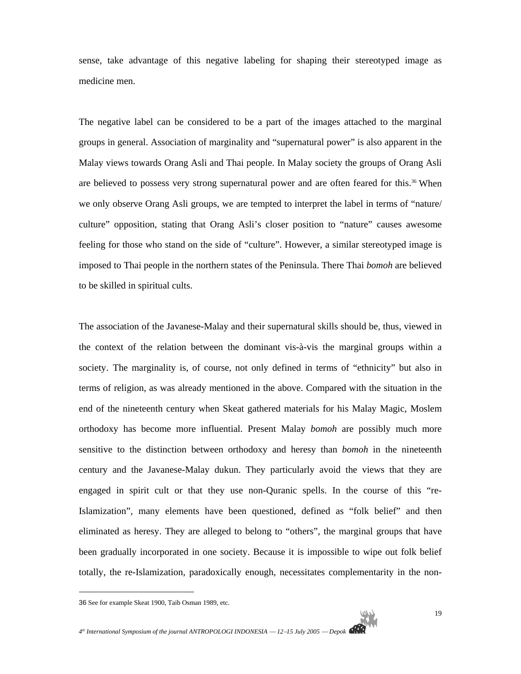sense, take advantage of this negative labeling for shaping their stereotyped image as medicine men.

The negative label can be considered to be a part of the images attached to the marginal groups in general. Association of marginality and "supernatural power" is also apparent in the Malay views towards Orang Asli and Thai people. In Malay society the groups of Orang Asli are believed to possess very strong supernatural power and are often feared for this.36 When we only observe Orang Asli groups, we are tempted to interpret the label in terms of "nature/ culture" opposition, stating that Orang Asli's closer position to "nature" causes awesome feeling for those who stand on the side of "culture". However, a similar stereotyped image is imposed to Thai people in the northern states of the Peninsula. There Thai *bomoh* are believed to be skilled in spiritual cults.

The association of the Javanese-Malay and their supernatural skills should be, thus, viewed in the context of the relation between the dominant vis-à-vis the marginal groups within a society. The marginality is, of course, not only defined in terms of "ethnicity" but also in terms of religion, as was already mentioned in the above. Compared with the situation in the end of the nineteenth century when Skeat gathered materials for his Malay Magic, Moslem orthodoxy has become more influential. Present Malay *bomoh* are possibly much more sensitive to the distinction between orthodoxy and heresy than *bomoh* in the nineteenth century and the Javanese-Malay dukun. They particularly avoid the views that they are engaged in spirit cult or that they use non-Quranic spells. In the course of this "re-Islamization", many elements have been questioned, defined as "folk belief" and then eliminated as heresy. They are alleged to belong to "others", the marginal groups that have been gradually incorporated in one society. Because it is impossible to wipe out folk belief totally, the re-Islamization, paradoxically enough, necessitates complementarity in the non-

<sup>36</sup> See for example Skeat 1900, Taib Osman 1989, etc.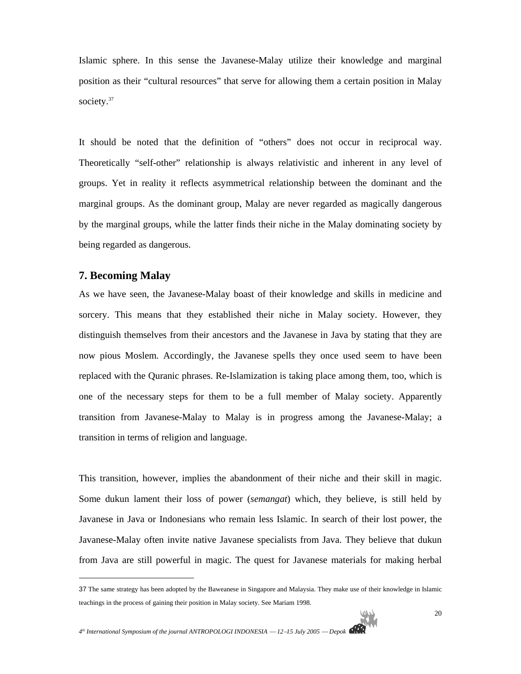Islamic sphere. In this sense the Javanese-Malay utilize their knowledge and marginal position as their "cultural resources" that serve for allowing them a certain position in Malay society.<sup>37</sup>

It should be noted that the definition of "others" does not occur in reciprocal way. Theoretically "self-other" relationship is always relativistic and inherent in any level of groups. Yet in reality it reflects asymmetrical relationship between the dominant and the marginal groups. As the dominant group, Malay are never regarded as magically dangerous by the marginal groups, while the latter finds their niche in the Malay dominating society by being regarded as dangerous.

# **7. Becoming Malay**

 $\overline{a}$ 

As we have seen, the Javanese-Malay boast of their knowledge and skills in medicine and sorcery. This means that they established their niche in Malay society. However, they distinguish themselves from their ancestors and the Javanese in Java by stating that they are now pious Moslem. Accordingly, the Javanese spells they once used seem to have been replaced with the Quranic phrases. Re-Islamization is taking place among them, too, which is one of the necessary steps for them to be a full member of Malay society. Apparently transition from Javanese-Malay to Malay is in progress among the Javanese-Malay; a transition in terms of religion and language.

This transition, however, implies the abandonment of their niche and their skill in magic. Some dukun lament their loss of power (*semangat*) which, they believe, is still held by Javanese in Java or Indonesians who remain less Islamic. In search of their lost power, the Javanese-Malay often invite native Javanese specialists from Java. They believe that dukun from Java are still powerful in magic. The quest for Javanese materials for making herbal

<sup>37</sup> The same strategy has been adopted by the Baweanese in Singapore and Malaysia. They make use of their knowledge in Islamic teachings in the process of gaining their position in Malay society. See Mariam 1998.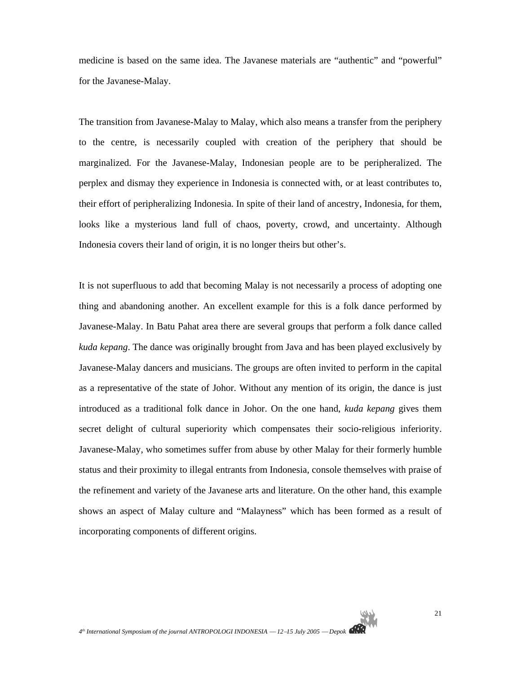medicine is based on the same idea. The Javanese materials are "authentic" and "powerful" for the Javanese-Malay.

The transition from Javanese-Malay to Malay, which also means a transfer from the periphery to the centre, is necessarily coupled with creation of the periphery that should be marginalized. For the Javanese-Malay, Indonesian people are to be peripheralized. The perplex and dismay they experience in Indonesia is connected with, or at least contributes to, their effort of peripheralizing Indonesia. In spite of their land of ancestry, Indonesia, for them, looks like a mysterious land full of chaos, poverty, crowd, and uncertainty. Although Indonesia covers their land of origin, it is no longer theirs but other's.

It is not superfluous to add that becoming Malay is not necessarily a process of adopting one thing and abandoning another. An excellent example for this is a folk dance performed by Javanese-Malay. In Batu Pahat area there are several groups that perform a folk dance called *kuda kepang*. The dance was originally brought from Java and has been played exclusively by Javanese-Malay dancers and musicians. The groups are often invited to perform in the capital as a representative of the state of Johor. Without any mention of its origin, the dance is just introduced as a traditional folk dance in Johor. On the one hand, *kuda kepang* gives them secret delight of cultural superiority which compensates their socio-religious inferiority. Javanese-Malay, who sometimes suffer from abuse by other Malay for their formerly humble status and their proximity to illegal entrants from Indonesia, console themselves with praise of the refinement and variety of the Javanese arts and literature. On the other hand, this example shows an aspect of Malay culture and "Malayness" which has been formed as a result of incorporating components of different origins.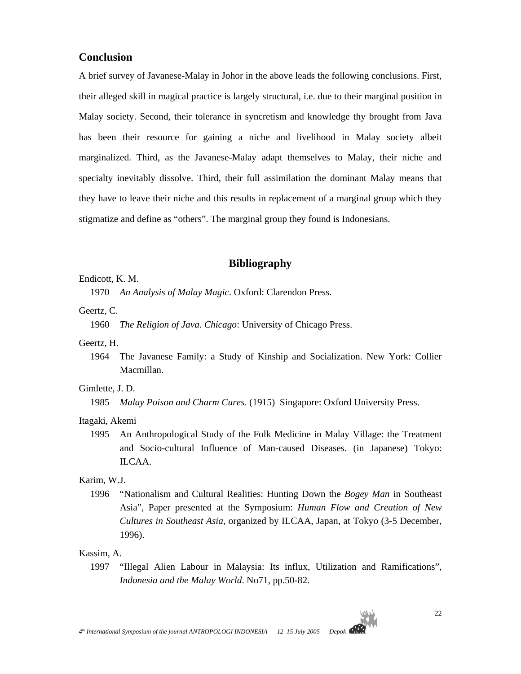# **Conclusion**

A brief survey of Javanese-Malay in Johor in the above leads the following conclusions. First, their alleged skill in magical practice is largely structural, i.e. due to their marginal position in Malay society. Second, their tolerance in syncretism and knowledge thy brought from Java has been their resource for gaining a niche and livelihood in Malay society albeit marginalized. Third, as the Javanese-Malay adapt themselves to Malay, their niche and specialty inevitably dissolve. Third, their full assimilation the dominant Malay means that they have to leave their niche and this results in replacement of a marginal group which they stigmatize and define as "others". The marginal group they found is Indonesians.

# **Bibliography**

#### Endicott, K. M.

1970 *An Analysis of Malay Magic*. Oxford: Clarendon Press.

#### Geertz, C.

1960 *The Religion of Java. Chicago*: University of Chicago Press.

#### Geertz, H.

1964 The Javanese Family: a Study of Kinship and Socialization. New York: Collier Macmillan.

#### Gimlette, J. D.

1985 *Malay Poison and Charm Cures*. (1915) Singapore: Oxford University Press.

# Itagaki, Akemi

1995 An Anthropological Study of the Folk Medicine in Malay Village: the Treatment and Socio-cultural Influence of Man-caused Diseases. (in Japanese) Tokyo: ILCAA.

#### Karim, W.J.

1996 "Nationalism and Cultural Realities: Hunting Down the *Bogey Man* in Southeast Asia", Paper presented at the Symposium: *Human Flow and Creation of New Cultures in Southeast Asia*, organized by ILCAA, Japan, at Tokyo (3-5 December, 1996).

### Kassim, A.

1997 "Illegal Alien Labour in Malaysia: Its influx, Utilization and Ramifications", *Indonesia and the Malay World*. No71, pp.50-82.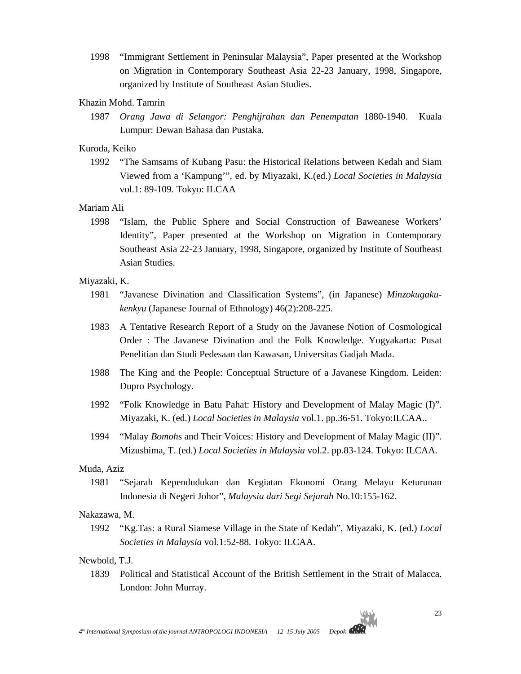1998 "Immigrant Settlement in Peninsular Malaysia", Paper presented at the Workshop on Migration in Contemporary Southeast Asia 22-23 January, 1998, Singapore, organized by Institute of Southeast Asian Studies.

# Khazin Mohd. Tamrin

1987 *Orang Jawa di Selangor: Penghijrahan dan Penempatan* 1880-1940. Kuala Lumpur: Dewan Bahasa dan Pustaka.

#### Kuroda, Keiko

1992 "The Samsams of Kubang Pasu: the Historical Relations between Kedah and Siam Viewed from a 'Kampung'", ed. by Miyazaki, K.(ed.) *Local Societies in Malaysia* vol.1: 89-109. Tokyo: ILCAA

#### Mariam Ali

1998 "Islam, the Public Sphere and Social Construction of Baweanese Workers' Identity", Paper presented at the Workshop on Migration in Contemporary Southeast Asia 22-23 January, 1998, Singapore, organized by Institute of Southeast Asian Studies.

#### Miyazaki, K.

- 1981 "Javanese Divination and Classification Systems", (in Japanese) *Minzokugakukenkyu* (Japanese Journal of Ethnology) 46(2):208-225.
- 1983 A Tentative Research Report of a Study on the Javanese Notion of Cosmological Order : The Javanese Divination and the Folk Knowledge. Yogyakarta: Pusat Penelitian dan Studi Pedesaan dan Kawasan, Universitas Gadjah Mada.
- 1988 The King and the People: Conceptual Structure of a Javanese Kingdom. Leiden: Dupro Psychology.
- 1992 "Folk Knowledge in Batu Pahat: History and Development of Malay Magic (I)". Miyazaki, K. (ed.) *Local Societies in Malaysia* vol.1. pp.36-51. Tokyo:ILCAA..
- 1994 "Malay *Bomoh*s and Their Voices: History and Development of Malay Magic (II)". Mizushima, T. (ed.) *Local Societies in Malaysia* vol.2. pp.83-124. Tokyo: ILCAA.

#### Muda, Aziz

1981 "Sejarah Kependudukan dan Kegiatan Ekonomi Orang Melayu Keturunan Indonesia di Negeri Johor", *Malaysia dari Segi Sejarah* No.10:155-162.

#### Nakazawa, M.

1992 "Kg.Tas: a Rural Siamese Village in the State of Kedah", Miyazaki, K. (ed.) *Local Societies in Malaysia* vol.1:52-88. Tokyo: ILCAA.

#### Newbold, T.J.

1839 Political and Statistical Account of the British Settlement in the Strait of Malacca. London: John Murray.